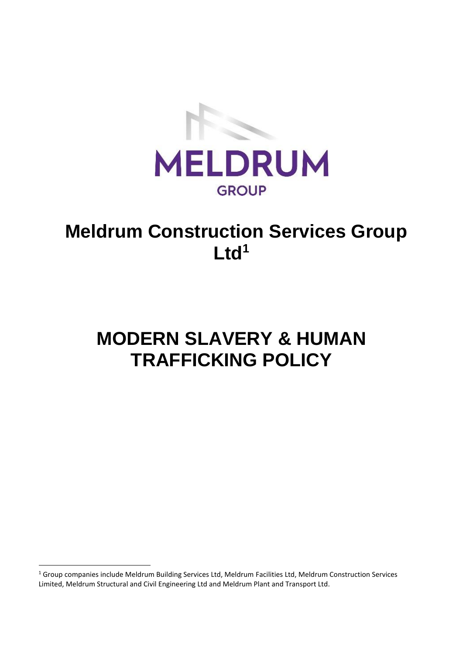

## **Meldrum Construction Services Group Ltd<sup>1</sup>**

# **MODERN SLAVERY & HUMAN TRAFFICKING POLICY**

<sup>&</sup>lt;sup>1</sup> Group companies include Meldrum Building Services Ltd, Meldrum Facilities Ltd, Meldrum Construction Services Limited, Meldrum Structural and Civil Engineering Ltd and Meldrum Plant and Transport Ltd.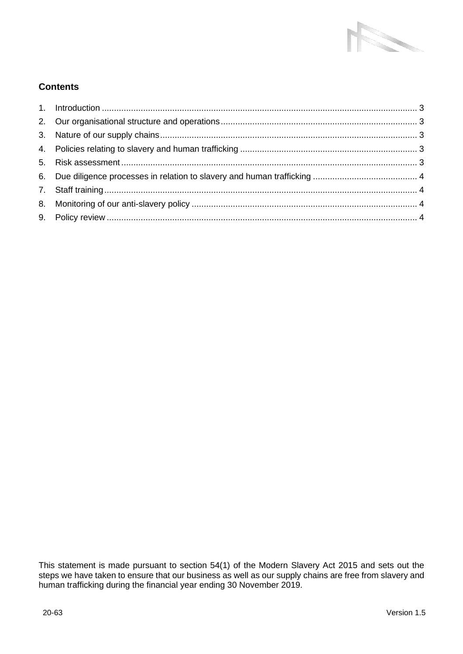

### **Contents**

This statement is made pursuant to section 54(1) of the Modern Slavery Act 2015 and sets out the steps we have taken to ensure that our business as well as our supply chains are free from slavery and human trafficking during the financial year ending 30 November 2019.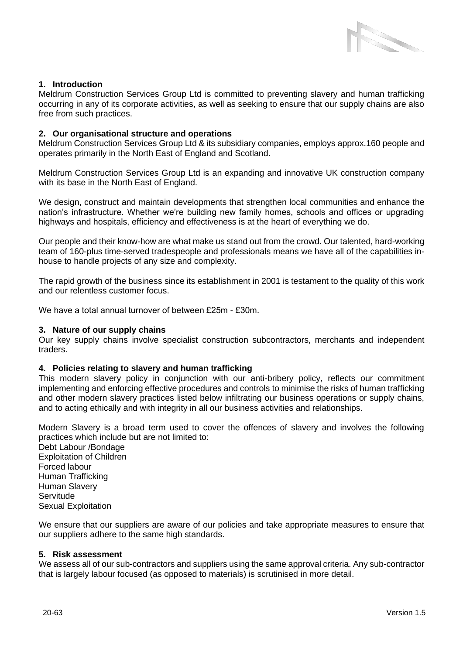

#### <span id="page-2-0"></span>**1. Introduction**

Meldrum Construction Services Group Ltd is committed to preventing slavery and human trafficking occurring in any of its corporate activities, as well as seeking to ensure that our supply chains are also free from such practices.

#### <span id="page-2-1"></span>**2. Our organisational structure and operations**

Meldrum Construction Services Group Ltd & its subsidiary companies, employs approx.160 people and operates primarily in the North East of England and Scotland.

Meldrum Construction Services Group Ltd is an expanding and innovative UK construction company with its base in the North East of England.

We design, construct and maintain developments that strengthen local communities and enhance the nation's infrastructure. Whether we're building new family homes, schools and offices or upgrading highways and hospitals, efficiency and effectiveness is at the heart of everything we do.

Our people and their know-how are what make us stand out from the crowd. Our talented, hard-working team of 160-plus time-served tradespeople and professionals means we have all of the capabilities inhouse to handle projects of any size and complexity.

The rapid growth of the business since its establishment in 2001 is testament to the quality of this work and our relentless customer focus.

We have a total annual turnover of between £25m - £30m.

#### <span id="page-2-2"></span>**3. Nature of our supply chains**

Our key supply chains involve specialist construction subcontractors, merchants and independent traders.

#### <span id="page-2-3"></span>**4. Policies relating to slavery and human trafficking**

This modern slavery policy in conjunction with our anti-bribery policy, reflects our commitment implementing and enforcing effective procedures and controls to minimise the risks of human trafficking and other modern slavery practices listed below infiltrating our business operations or supply chains, and to acting ethically and with integrity in all our business activities and relationships.

Modern Slavery is a broad term used to cover the offences of slavery and involves the following practices which include but are not limited to:

Debt Labour /Bondage Exploitation of Children Forced labour Human Trafficking Human Slavery **Servitude** Sexual Exploitation

We ensure that our suppliers are aware of our policies and take appropriate measures to ensure that our suppliers adhere to the same high standards.

#### <span id="page-2-4"></span>**5. Risk assessment**

We assess all of our sub-contractors and suppliers using the same approval criteria. Any sub-contractor that is largely labour focused (as opposed to materials) is scrutinised in more detail.